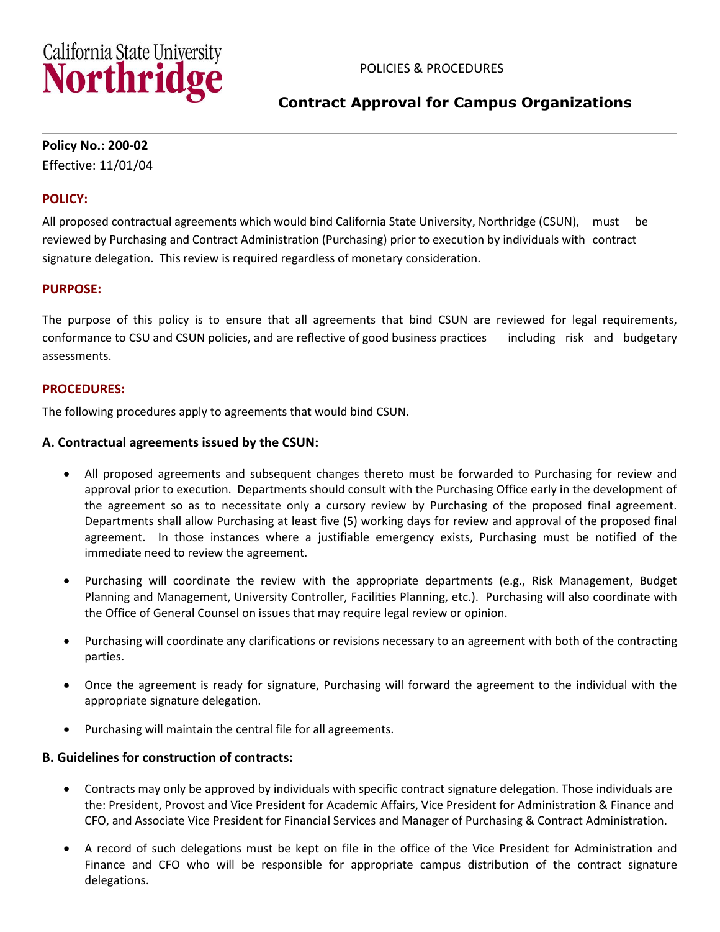

# **Contract Approval for Campus Organizations**

### **Policy No.: 200-02**

Effective: 11/01/04

### **POLICY:**

All proposed contractual agreements which would bind California State University, Northridge (CSUN), must be reviewed by Purchasing and Contract Administration (Purchasing) prior to execution by individuals with contract signature delegation. This review is required regardless of monetary consideration.

### **PURPOSE:**

The purpose of this policy is to ensure that all agreements that bind CSUN are reviewed for legal requirements, conformance to CSU and CSUN policies, and are reflective of good business practices including risk and budgetary assessments.

### **PROCEDURES:**

The following procedures apply to agreements that would bind CSUN.

### **A. Contractual agreements issued by the CSUN:**

- All proposed agreements and subsequent changes thereto must be forwarded to Purchasing for review and approval prior to execution. Departments should consult with the Purchasing Office early in the development of the agreement so as to necessitate only a cursory review by Purchasing of the proposed final agreement. Departments shall allow Purchasing at least five (5) working days for review and approval of the proposed final agreement. In those instances where a justifiable emergency exists, Purchasing must be notified of the immediate need to review the agreement.
- Purchasing will coordinate the review with the appropriate departments (e.g., Risk Management, Budget Planning and Management, University Controller, Facilities Planning, etc.). Purchasing will also coordinate with the Office of General Counsel on issues that may require legal review or opinion.
- Purchasing will coordinate any clarifications or revisions necessary to an agreement with both of the contracting parties.
- Once the agreement is ready for signature, Purchasing will forward the agreement to the individual with the appropriate signature delegation.
- Purchasing will maintain the central file for all agreements.

### **B. Guidelines for construction of contracts:**

- Contracts may only be approved by individuals with specific contract signature delegation. Those individuals are the: President, Provost and Vice President for Academic Affairs, Vice President for Administration & Finance and CFO, and Associate Vice President for Financial Services and Manager of Purchasing & Contract Administration.
- A record of such delegations must be kept on file in the office of the Vice President for Administration and Finance and CFO who will be responsible for appropriate campus distribution of the contract signature delegations.